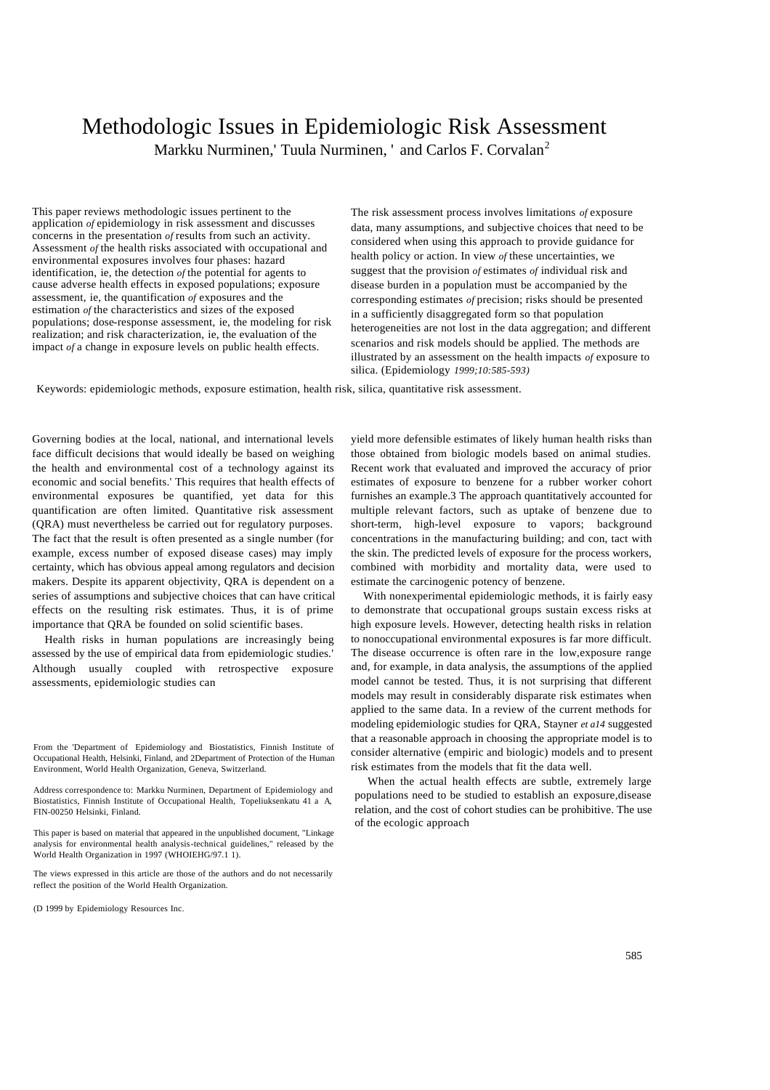# Methodologic Issues in Epidemiologic Risk Assessment Markku Nurminen,' Tuula Nurminen, ' and Carlos F. Corvalan<sup>2</sup>

This paper reviews methodologic issues pertinent to the application *of* epidemiology in risk assessment and discusses concerns in the presentation *of* results from such an activity. Assessment *of* the health risks associated with occupational and environmental exposures involves four phases: hazard identification, ie, the detection *of* the potential for agents to cause adverse health effects in exposed populations; exposure assessment, ie, the quantification *of* exposures and the estimation *of* the characteristics and sizes of the exposed populations; dose-response assessment, ie, the modeling for risk realization; and risk characterization, ie, the evaluation of the impact *of* a change in exposure levels on public health effects.

The risk assessment process involves limitations *of* exposure data, many assumptions, and subjective choices that need to be considered when using this approach to provide guidance for health policy or action. In view *of* these uncertainties, we suggest that the provision *of* estimates *of* individual risk and disease burden in a population must be accompanied by the corresponding estimates *of* precision; risks should be presented in a sufficiently disaggregated form so that population heterogeneities are not lost in the data aggregation; and different scenarios and risk models should be applied. The methods are illustrated by an assessment on the health impacts *of* exposure to silica. (Epidemiology *1999;10:585-593)*

Keywords: epidemiologic methods, exposure estimation, health risk, silica, quantitative risk assessment.

Governing bodies at the local, national, and international levels face difficult decisions that would ideally be based on weighing the health and environmental cost of a technology against its economic and social benefits.' This requires that health effects of environmental exposures be quantified, yet data for this quantification are often limited. Quantitative risk assessment (QRA) must nevertheless be carried out for regulatory purposes. The fact that the result is often presented as a single number (for example, excess number of exposed disease cases) may imply certainty, which has obvious appeal among regulators and decision makers. Despite its apparent objectivity, QRA is dependent on a series of assumptions and subjective choices that can have critical effects on the resulting risk estimates. Thus, it is of prime importance that QRA be founded on solid scientific bases.

Health risks in human populations are increasingly being assessed by the use of empirical data from epidemiologic studies.' Although usually coupled with retrospective exposure assessments, epidemiologic studies can

Address correspondence to: Markku Nurminen, Department of Epidemiology and Biostatistics, Finnish Institute of Occupational Health, Topeliuksenkatu 41 a A, FIN-00250 Helsinki, Finland.

This paper is based on material that appeared in the unpublished document, "Linkage analysis for environmental health analysis-technical guidelines," released by the World Health Organization in 1997 (WHOIEHG/97.1 1).

The views expressed in this article are those of the authors and do not necessarily reflect the position of the World Health Organization.

(D 1999 by Epidemiology Resources Inc.

yield more defensible estimates of likely human health risks than those obtained from biologic models based on animal studies. Recent work that evaluated and improved the accuracy of prior estimates of exposure to benzene for a rubber worker cohort furnishes an example.3 The approach quantitatively accounted for multiple relevant factors, such as uptake of benzene due to short-term, high-level exposure to vapors; background concentrations in the manufacturing building; and con, tact with the skin. The predicted levels of exposure for the process workers, combined with morbidity and mortality data, were used to estimate the carcinogenic potency of benzene.

With nonexperimental epidemiologic methods, it is fairly easy to demonstrate that occupational groups sustain excess risks at high exposure levels. However, detecting health risks in relation to nonoccupational environmental exposures is far more difficult. The disease occurrence is often rare in the low,exposure range and, for example, in data analysis, the assumptions of the applied model cannot be tested. Thus, it is not surprising that different models may result in considerably disparate risk estimates when applied to the same data. In a review of the current methods for modeling epidemiologic studies for QRA, Stayner *et a14* suggested that a reasonable approach in choosing the appropriate model is to consider alternative (empiric and biologic) models and to present risk estimates from the models that fit the data well.

When the actual health effects are subtle, extremely large populations need to be studied to establish an exposure,disease relation, and the cost of cohort studies can be prohibitive. The use of the ecologic approach

From the 'Department of Epidemiology and Biostatistics, Finnish Institute of Occupational Health, Helsinki, Finland, and 2Department of Protection of the Human Environment, World Health Organization, Geneva, Switzerland.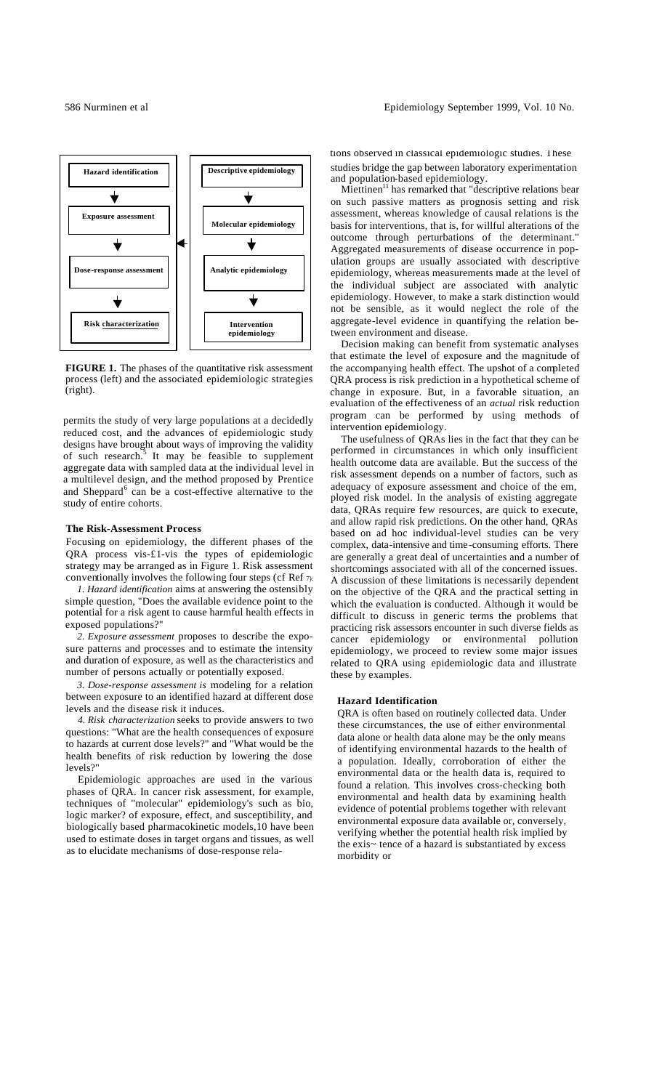

**FIGURE 1.** The phases of the quantitative risk assessment process (left) and the associated epidemiologic strategies (right).

permits the study of very large populations at a decidedly reduced cost, and the advances of epidemiologic study designs have brought about ways of improving the validity of such research.<sup>5</sup> It may be feasible to supplement aggregate data with sampled data at the individual level in a multilevel design, and the method proposed by Prentice and Sheppard<sup>6</sup> can be a cost-effective alternative to the study of entire cohorts.

### **The Risk-Assessment Process**

Focusing on epidemiology, the different phases of the QRA process vis-£1-vis the types of epidemiologic strategy may be arranged as in Figure 1. Risk assessment conventionally involves the following four steps (cf Ref  $\tau$ ):

*1. Hazard identification* aims at answering the ostensibly simple question, "Does the available evidence point to the potential for a risk agent to cause harmful health effects in exposed populations?"

*2. Exposure assessment* proposes to describe the exposure patterns and processes and to estimate the intensity and duration of exposure, as well as the characteristics and number of persons actually or potentially exposed.

*3. Dose-response assessment is* modeling for a relation between exposure to an identified hazard at different dose levels and the disease risk it induces.

*4. Risk characterization* seeks to provide answers to two questions: "What are the health consequences of exposure to hazards at current dose levels?" and "What would be the health benefits of risk reduction by lowering the dose levels?"

Epidemiologic approaches are used in the various phases of QRA. In cancer risk assessment, for example, techniques of "molecular" epidemiology's such as bio, logic marker? of exposure, effect, and susceptibility, and biologically based pharmacokinetic models,10 have been used to estimate doses in target organs and tissues, as well as to elucidate mechanisms of dose-response relations observed in classical epidemiologic studies. These studies bridge the gap between laboratory experimentation and population-based epidemiology.

Miettinen<sup>11</sup> has remarked that "descriptive relations bear on such passive matters as prognosis setting and risk assessment, whereas knowledge of causal relations is the basis for interventions, that is, for willful alterations of the outcome through perturbations of the determinant." Aggregated measurements of disease occurrence in population groups are usually associated with descriptive epidemiology, whereas measurements made at the level of the individual subject are associated with analytic epidemiology. However, to make a stark distinction would not be sensible, as it would neglect the role of the aggregate-level evidence in quantifying the relation between environment and disease.

Decision making can benefit from systematic analyses that estimate the level of exposure and the magnitude of the accompanying health effect. The upshot of a completed QRA process is risk prediction in a hypothetical scheme of change in exposure. But, in a favorable situation, an evaluation of the effectiveness of an *actual* risk reduction program can be performed by using methods of intervention epidemiology.

The usefulness of QRAs lies in the fact that they can be performed in circumstances in which only insufficient health outcome data are available. But the success of the risk assessment depends on a number of factors, such as adequacy of exposure assessment and choice of the em, ployed risk model. In the analysis of existing aggregate data, QRAs require few resources, are quick to execute, and allow rapid risk predictions. On the other hand, QRAs based on ad hoc individual-level studies can be very complex, data-intensive and time-consuming efforts. There are generally a great deal of uncertainties and a number of shortcomings associated with all of the concerned issues. A discussion of these limitations is necessarily dependent on the objective of the QRA and the practical setting in which the evaluation is conducted. Although it would be difficult to discuss in generic terms the problems that practicing risk assessors encounter in such diverse fields as cancer epidemiology or environmental pollution epidemiology, we proceed to review some major issues related to QRA using epidemiologic data and illustrate these by examples.

### **Hazard Identification**

QRA is often based on routinely collected data. Under these circumstances, the use of either environmental data alone or health data alone may be the only means of identifying environmental hazards to the health of a population. Ideally, corroboration of either the environmental data or the health data is, required to found a relation. This involves cross-checking both environmental and health data by examining health evidence of potential problems together with relevant environmental exposure data available or, conversely, verifying whether the potential health risk implied by the exis~ tence of a hazard is substantiated by excess morbidity or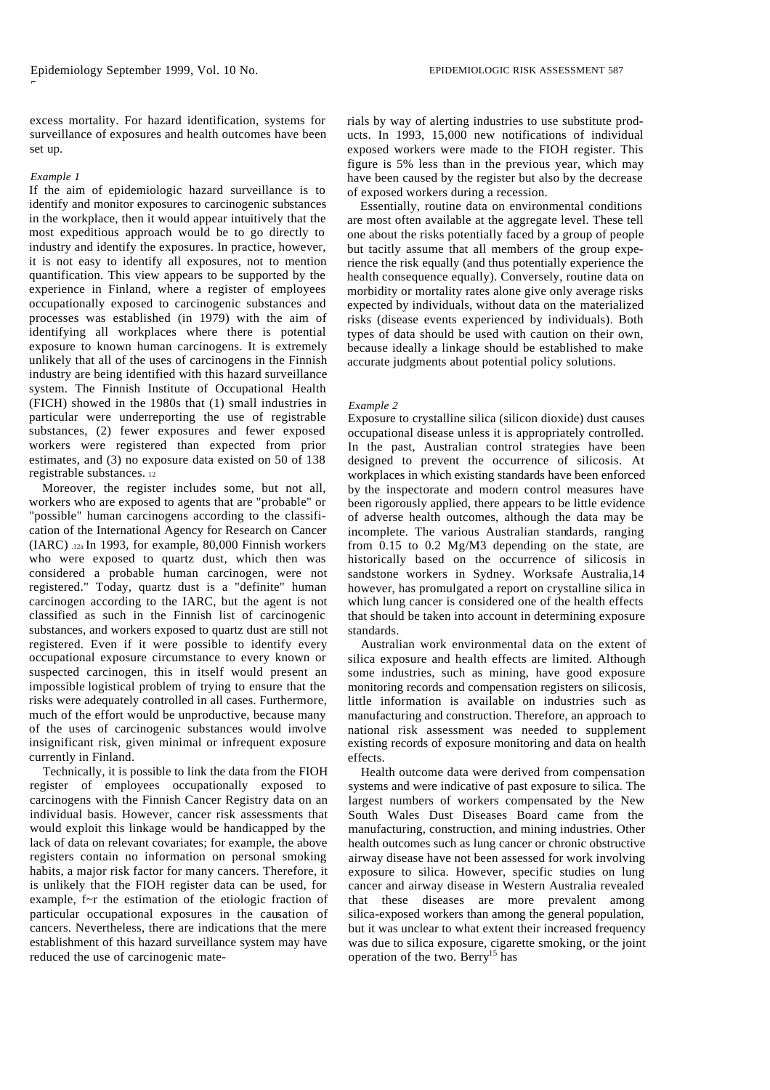excess mortality. For hazard identification, systems for surveillance of exposures and health outcomes have been set up.

#### *Example 1*

 $\overline{a}$ 

If the aim of epidemiologic hazard surveillance is to identify and monitor exposures to carcinogenic substances in the workplace, then it would appear intuitively that the most expeditious approach would be to go directly to industry and identify the exposures. In practice, however, it is not easy to identify all exposures, not to mention quantification. This view appears to be supported by the experience in Finland, where a register of employees occupationally exposed to carcinogenic substances and processes was established (in 1979) with the aim of identifying all workplaces where there is potential exposure to known human carcinogens. It is extremely unlikely that all of the uses of carcinogens in the Finnish industry are being identified with this hazard surveillance system. The Finnish Institute of Occupational Health (FICH) showed in the 1980s that (1) small industries in particular were underreporting the use of registrable substances, (2) fewer exposures and fewer exposed workers were registered than expected from prior estimates, and (3) no exposure data existed on 50 of 138 registrable substances. <sup>12</sup>

Moreover, the register includes some, but not all, workers who are exposed to agents that are "probable" or "possible" human carcinogens according to the classification of the International Agency for Research on Cancer (IARC) .12a In 1993, for example, 80,000 Finnish workers who were exposed to quartz dust, which then was considered a probable human carcinogen, were not registered." Today, quartz dust is a "definite" human carcinogen according to the IARC, but the agent is not classified as such in the Finnish list of carcinogenic substances, and workers exposed to quartz dust are still not registered. Even if it were possible to identify every occupational exposure circumstance to every known or suspected carcinogen, this in itself would present an impossible logistical problem of trying to ensure that the risks were adequately controlled in all cases. Furthermore, much of the effort would be unproductive, because many of the uses of carcinogenic substances would involve insignificant risk, given minimal or infrequent exposure currently in Finland.

Technically, it is possible to link the data from the FIOH register of employees occupationally exposed to carcinogens with the Finnish Cancer Registry data on an individual basis. However, cancer risk assessments that would exploit this linkage would be handicapped by the lack of data on relevant covariates; for example, the above registers contain no information on personal smoking habits, a major risk factor for many cancers. Therefore, it is unlikely that the FIOH register data can be used, for example, f~r the estimation of the etiologic fraction of particular occupational exposures in the causation of cancers. Nevertheless, there are indications that the mere establishment of this hazard surveillance system may have reduced the use of carcinogenic materials by way of alerting industries to use substitute products. In 1993, 15,000 new notifications of individual exposed workers were made to the FIOH register. This figure is 5% less than in the previous year, which may have been caused by the register but also by the decrease of exposed workers during a recession.

Essentially, routine data on environmental conditions are most often available at the aggregate level. These tell one about the risks potentially faced by a group of people but tacitly assume that all members of the group experience the risk equally (and thus potentially experience the health consequence equally). Conversely, routine data on morbidity or mortality rates alone give only average risks expected by individuals, without data on the materialized risks (disease events experienced by individuals). Both types of data should be used with caution on their own, because ideally a linkage should be established to make accurate judgments about potential policy solutions.

#### *Example 2*

Exposure to crystalline silica (silicon dioxide) dust causes occupational disease unless it is appropriately controlled. In the past, Australian control strategies have been designed to prevent the occurrence of silicosis. At workplaces in which existing standards have been enforced by the inspectorate and modern control measures have been rigorously applied, there appears to be little evidence of adverse health outcomes, although the data may be incomplete. The various Australian standards, ranging from 0.15 to 0.2 Mg/M3 depending on the state, are historically based on the occurrence of silicosis in sandstone workers in Sydney. Worksafe Australia,14 however, has promulgated a report on crystalline silica in which lung cancer is considered one of the health effects that should be taken into account in determining exposure standards.

Australian work environmental data on the extent of silica exposure and health effects are limited. Although some industries, such as mining, have good exposure monitoring records and compensation registers on silicosis, little information is available on industries such as manufacturing and construction. Therefore, an approach to national risk assessment was needed to supplement existing records of exposure monitoring and data on health effects.

Health outcome data were derived from compensation systems and were indicative of past exposure to silica. The largest numbers of workers compensated by the New South Wales Dust Diseases Board came from the manufacturing, construction, and mining industries. Other health outcomes such as lung cancer or chronic obstructive airway disease have not been assessed for work involving exposure to silica. However, specific studies on lung cancer and airway disease in Western Australia revealed that these diseases are more prevalent among silica-exposed workers than among the general population, but it was unclear to what extent their increased frequency was due to silica exposure, cigarette smoking, or the joint operation of the two. Berry<sup>15</sup> has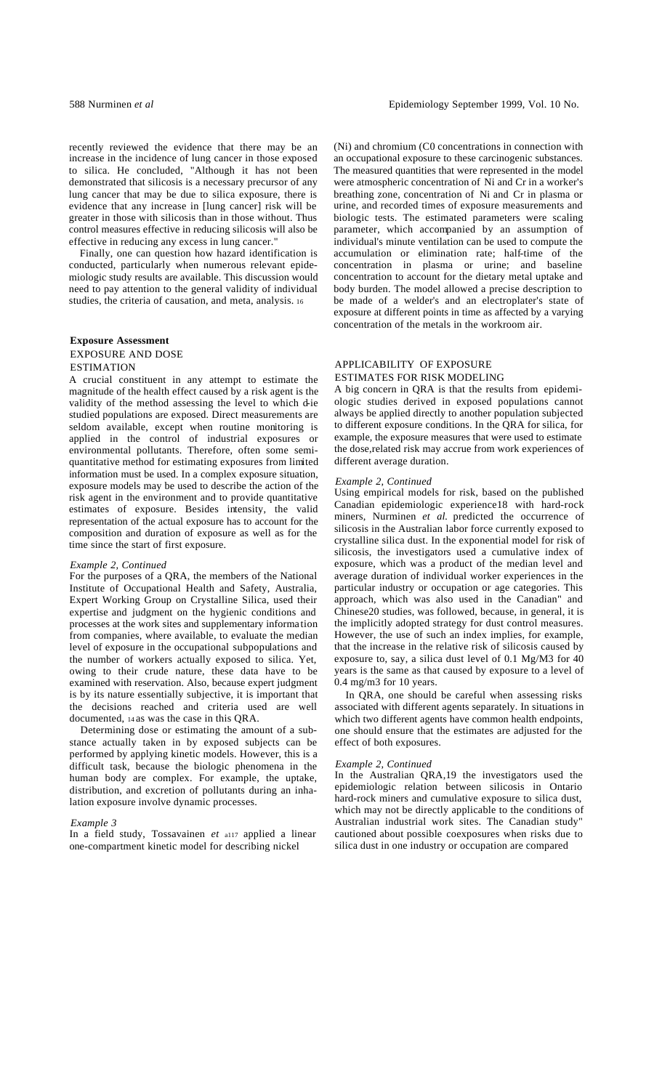recently reviewed the evidence that there may be an increase in the incidence of lung cancer in those exposed to silica. He concluded, "Although it has not been demonstrated that silicosis is a necessary precursor of any lung cancer that may be due to silica exposure, there is evidence that any increase in [lung cancer] risk will be greater in those with silicosis than in those without. Thus control measures effective in reducing silicosis will also be effective in reducing any excess in lung cancer."

Finally, one can question how hazard identification is conducted, particularly when numerous relevant epidemiologic study results are available. This discussion would need to pay attention to the general validity of individual studies, the criteria of causation, and meta, analysis. <sup>16</sup>

# **Exposure Assessment** EXPOSURE AND DOSE **ESTIMATION**

A crucial constituent in any attempt to estimate the magnitude of the health effect caused by a risk agent is the validity of the method assessing the level to which d-ie studied populations are exposed. Direct measurements are seldom available, except when routine monitoring is applied in the control of industrial exposures or environmental pollutants. Therefore, often some semiquantitative method for estimating exposures from limited information must be used. In a complex exposure situation, exposure models may be used to describe the action of the risk agent in the environment and to provide quantitative estimates of exposure. Besides intensity, the valid representation of the actual exposure has to account for the composition and duration of exposure as well as for the time since the start of first exposure.

### *Example 2, Continued*

For the purposes of a QRA, the members of the National Institute of Occupational Health and Safety, Australia, Expert Working Group on Crystalline Silica, used their expertise and judgment on the hygienic conditions and processes at the work sites and supplementary information from companies, where available, to evaluate the median level of exposure in the occupational subpopulations and the number of workers actually exposed to silica. Yet, owing to their crude nature, these data have to be examined with reservation. Also, because expert judgment is by its nature essentially subjective, it is important that the decisions reached and criteria used are well documented, 14 as was the case in this QRA.

Determining dose or estimating the amount of a substance actually taken in by exposed subjects can be performed by applying kinetic models. However, this is a difficult task, because the biologic phenomena in the human body are complex. For example, the uptake, distribution, and excretion of pollutants during an inhalation exposure involve dynamic processes.

#### *Example 3*

In a field study, Tossavainen *et* a117 applied a linear one-compartment kinetic model for describing nickel

(Ni) and chromium (C0 concentrations in connection with an occupational exposure to these carcinogenic substances. The measured quantities that were represented in the model were atmospheric concentration of Ni and Cr in a worker's breathing zone, concentration of Ni and Cr in plasma or urine, and recorded times of exposure measurements and biologic tests. The estimated parameters were scaling parameter, which accompanied by an assumption of individual's minute ventilation can be used to compute the accumulation or elimination rate; half-time of the concentration in plasma or urine; and baseline concentration to account for the dietary metal uptake and body burden. The model allowed a precise description to be made of a welder's and an electroplater's state of exposure at different points in time as affected by a varying concentration of the metals in the workroom air.

## APPLICABILITY OF EXPOSURE ESTIMATES FOR RISK MODELING

A big concern in QRA is that the results from epidemiologic studies derived in exposed populations cannot always be applied directly to another population subjected to different exposure conditions. In the QRA for silica, for example, the exposure measures that were used to estimate the dose,related risk may accrue from work experiences of different average duration.

#### *Example 2, Continued*

Using empirical models for risk, based on the published Canadian epidemiologic experience18 with hard-rock miners, Nurminen et al. predicted the occurrence of silicosis in the Australian labor force currently exposed to crystalline silica dust. In the exponential model for risk of silicosis, the investigators used a cumulative index of exposure, which was a product of the median level and average duration of individual worker experiences in the particular industry or occupation or age categories. This approach, which was also used in the Canadian" and Chinese20 studies, was followed, because, in general, it is the implicitly adopted strategy for dust control measures. However, the use of such an index implies, for example, that the increase in the relative risk of silicosis caused by exposure to, say, a silica dust level of 0.1 Mg/M3 for 40 years is the same as that caused by exposure to a level of 0.4 mg/m3 for 10 years.

In QRA, one should be careful when assessing risks associated with different agents separately. In situations in which two different agents have common health endpoints, one should ensure that the estimates are adjusted for the effect of both exposures.

#### *Example 2, Continued*

In the Australian QRA,19 the investigators used the epidemiologic relation between silicosis in Ontario hard-rock miners and cumulative exposure to silica dust, which may not be directly applicable to the conditions of Australian industrial work sites. The Canadian study" cautioned about possible coexposures when risks due to silica dust in one industry or occupation are compared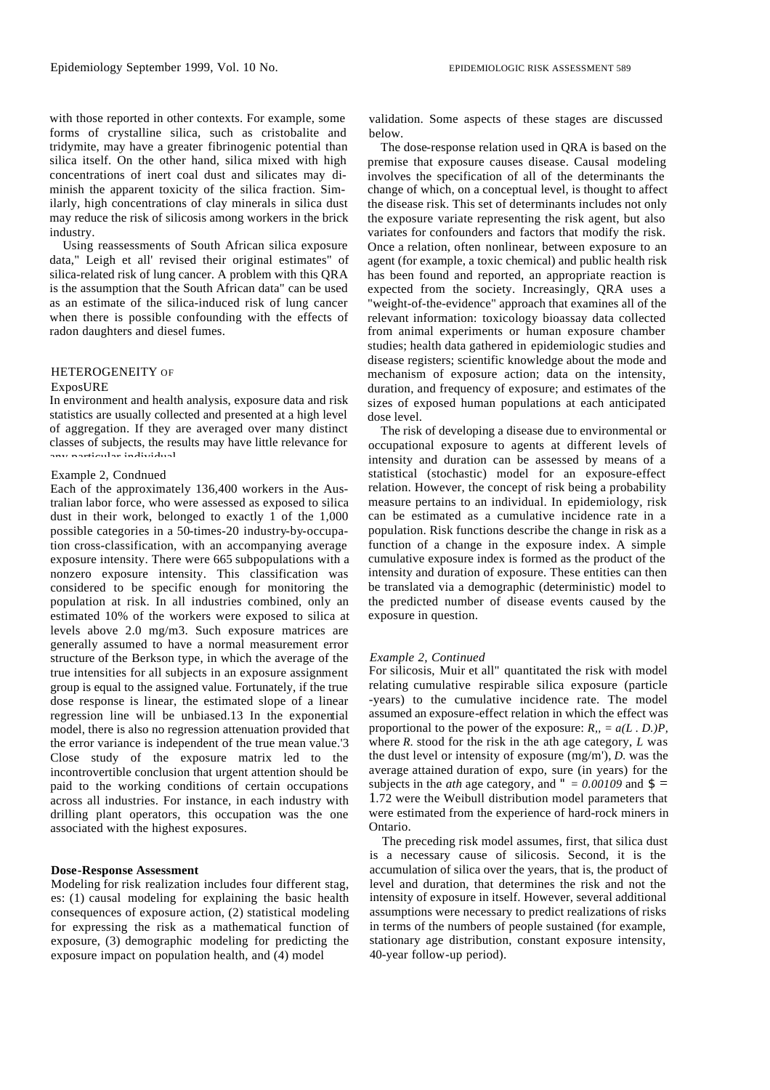with those reported in other contexts. For example, some forms of crystalline silica, such as cristobalite and tridymite, may have a greater fibrinogenic potential than silica itself. On the other hand, silica mixed with high concentrations of inert coal dust and silicates may diminish the apparent toxicity of the silica fraction. Similarly, high concentrations of clay minerals in silica dust may reduce the risk of silicosis among workers in the brick industry.

Using reassessments of South African silica exposure data," Leigh et all' revised their original estimates" of silica-related risk of lung cancer. A problem with this QRA is the assumption that the South African data" can be used as an estimate of the silica-induced risk of lung cancer when there is possible confounding with the effects of radon daughters and diesel fumes.

#### HETEROGENEITY OF

#### ExposURE

In environment and health analysis, exposure data and risk statistics are usually collected and presented at a high level of aggregation. If they are averaged over many distinct classes of subjects, the results may have little relevance for any particular individual.

### Example 2, Condnued

Each of the approximately 136,400 workers in the Australian labor force, who were assessed as exposed to silica dust in their work, belonged to exactly  $1$  of the 1,000 possible categories in a 50-times-20 industry-by-occupation cross-classification, with an accompanying average exposure intensity. There were 665 subpopulations with a nonzero exposure intensity. This classification was considered to be specific enough for monitoring the population at risk. In all industries combined, only an estimated 10% of the workers were exposed to silica at levels above 2.0 mg/m3. Such exposure matrices are generally assumed to have a normal measurement error structure of the Berkson type, in which the average of the true intensities for all subjects in an exposure assignment group is equal to the assigned value. Fortunately, if the true dose response is linear, the estimated slope of a linear regression line will be unbiased.13 In the exponential model, there is also no regression attenuation provided that the error variance is independent of the true mean value.'3 Close study of the exposure matrix led to the incontrovertible conclusion that urgent attention should be paid to the working conditions of certain occupations across all industries. For instance, in each industry with drilling plant operators, this occupation was the one associated with the highest exposures.

#### **Dose-Response Assessment**

Modeling for risk realization includes four different stag, es: (1) causal modeling for explaining the basic health consequences of exposure action, (2) statistical modeling for expressing the risk as a mathematical function of exposure, (3) demographic modeling for predicting the exposure impact on population health, and (4) model

validation. Some aspects of these stages are discussed below.

The dose-response relation used in QRA is based on the premise that exposure causes disease. Causal modeling involves the specification of all of the determinants the change of which, on a conceptual level, is thought to affect the disease risk. This set of determinants includes not only the exposure variate representing the risk agent, but also variates for confounders and factors that modify the risk. Once a relation, often nonlinear, between exposure to an agent (for example, a toxic chemical) and public health risk has been found and reported, an appropriate reaction is expected from the society. Increasingly, QRA uses a "weight-of-the-evidence" approach that examines all of the relevant information: toxicology bioassay data collected from animal experiments or human exposure chamber studies; health data gathered in epidemiologic studies and disease registers; scientific knowledge about the mode and mechanism of exposure action; data on the intensity, duration, and frequency of exposure; and estimates of the sizes of exposed human populations at each anticipated dose level.

The risk of developing a disease due to environmental or occupational exposure to agents at different levels of intensity and duration can be assessed by means of a statistical (stochastic) model for an exposure-effect relation. However, the concept of risk being a probability measure pertains to an individual. In epidemiology, risk can be estimated as a cumulative incidence rate in a population. Risk functions describe the change in risk as a function of a change in the exposure index. A simple cumulative exposure index is formed as the product of the intensity and duration of exposure. These entities can then be translated via a demographic (deterministic) model to the predicted number of disease events caused by the exposure in question.

#### *Example 2, Continued*

For silicosis, Muir et all" quantitated the risk with model relating cumulative respirable silica exposure (particle -years) to the cumulative incidence rate. The model assumed an exposure-effect relation in which the effect was proportional to the power of the exposure:  $R_{1} = a(L, D)P$ , where *R.* stood for the risk in the ath age category, *L* was the dust level or intensity of exposure (mg/m'), *D.* was the average attained duration of expo, sure (in years) for the subjects in the *ath* age category, and " =  $0.00109$  and  $\mathbf{S} =$ 1.72 were the Weibull distribution model parameters that were estimated from the experience of hard-rock miners in Ontario.

The preceding risk model assumes, first, that silica dust is a necessary cause of silicosis. Second, it is the accumulation of silica over the years, that is, the product of level and duration, that determines the risk and not the intensity of exposure in itself. However, several additional assumptions were necessary to predict realizations of risks in terms of the numbers of people sustained (for example, stationary age distribution, constant exposure intensity, 40-year follow-up period).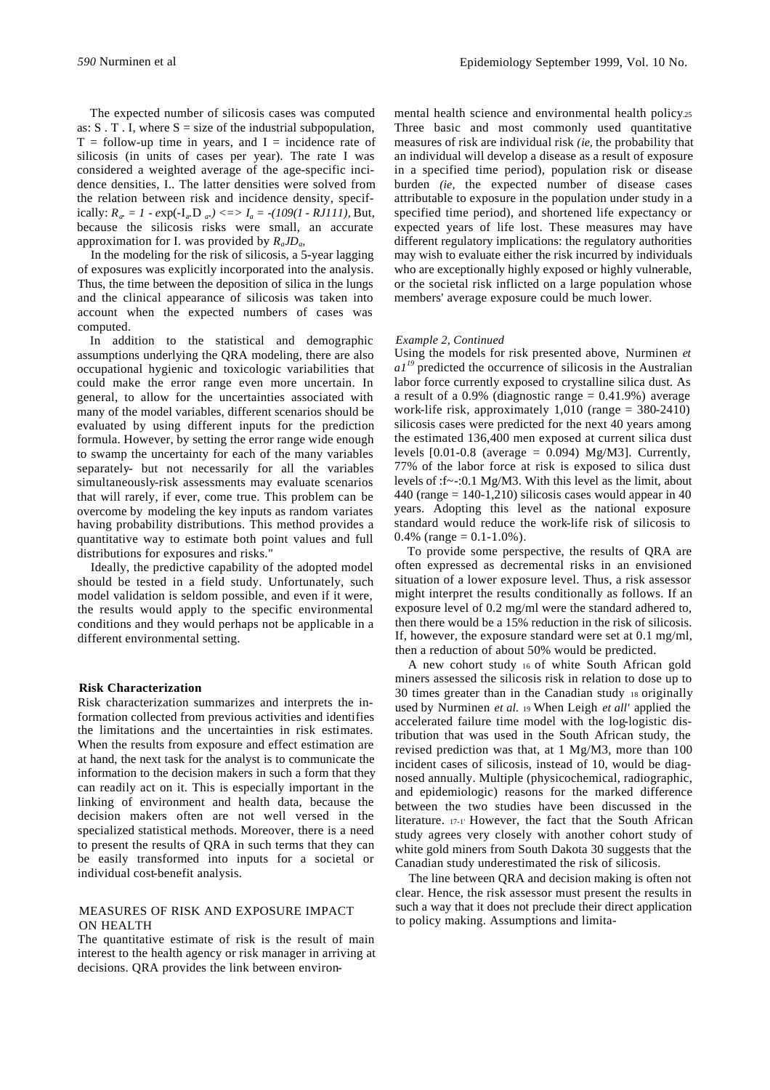The expected number of silicosis cases was computed as:  $S \cdot T \cdot I$ , where  $S = size$  of the industrial subpopulation,  $T =$  follow-up time in years, and  $I =$  incidence rate of silicosis (in units of cases per year). The rate I was considered a weighted average of the age-specific incidence densities, I.. The latter densities were solved from the relation between risk and incidence density, specifically:  $R_a = 1 - exp(-I_a, D_a) \leq 1/2$  *-* (109(1 - RJ111), But, because the silicosis risks were small, an accurate approximation for I. was provided by *RaJD<sup>a</sup> ,*

In the modeling for the risk of silicosis, a 5-year lagging of exposures was explicitly incorporated into the analysis. Thus, the time between the deposition of silica in the lungs and the clinical appearance of silicosis was taken into account when the expected numbers of cases was computed.

In addition to the statistical and demographic assumptions underlying the QRA modeling, there are also occupational hygienic and toxicologic variabilities that could make the error range even more uncertain. In general, to allow for the uncertainties associated with many of the model variables, different scenarios should be evaluated by using different inputs for the prediction formula. However, by setting the error range wide enough to swamp the uncertainty for each of the many variables separately- but not necessarily for all the variables simultaneously-risk assessments may evaluate scenarios that will rarely, if ever, come true. This problem can be overcome by modeling the key inputs as random variates having probability distributions. This method provides a quantitative way to estimate both point values and full distributions for exposures and risks."

Ideally, the predictive capability of the adopted model should be tested in a field study. Unfortunately, such model validation is seldom possible, and even if it were, the results would apply to the specific environmental conditions and they would perhaps not be applicable in a different environmental setting.

### **Risk Characterization**

Risk characterization summarizes and interprets the information collected from previous activities and identifies the limitations and the uncertainties in risk estimates. When the results from exposure and effect estimation are at hand, the next task for the analyst is to communicate the information to the decision makers in such a form that they can readily act on it. This is especially important in the linking of environment and health data, because the decision makers often are not well versed in the specialized statistical methods. Moreover, there is a need to present the results of QRA in such terms that they can be easily transformed into inputs for a societal or individual cost-benefit analysis.

### MEASURES OF RISK AND EXPOSURE IMPACT ON HEALTH

The quantitative estimate of risk is the result of main interest to the health agency or risk manager in arriving at decisions. QRA provides the link between environmental health science and environmental health policy.25 Three basic and most commonly used quantitative measures of risk are individual risk *(ie,* the probability that an individual will develop a disease as a result of exposure in a specified time period), population risk or disease burden *(ie,* the expected number of disease cases attributable to exposure in the population under study in a specified time period), and shortened life expectancy or expected years of life lost. These measures may have different regulatory implications: the regulatory authorities may wish to evaluate either the risk incurred by individuals who are exceptionally highly exposed or highly vulnerable, or the societal risk inflicted on a large population whose members' average exposure could be much lower.

### *Example 2, Continued*

Using the models for risk presented above, Nurminen *et*  $aI<sup>19</sup>$  predicted the occurrence of silicosis in the Australian labor force currently exposed to crystalline silica dust. As a result of a 0.9% (diagnostic range  $= 0.41.9\%$ ) average work-life risk, approximately  $1,010$  (range = 380-2410) silicosis cases were predicted for the next 40 years among the estimated 136,400 men exposed at current silica dust levels  $[0.01-0.8$  (average = 0.094) Mg/M3]. Currently, 77% of the labor force at risk is exposed to silica dust levels of :f~-:0.1 Mg/M3. With this level as the limit, about  $440$  (range = 140-1,210) silicosis cases would appear in 40 years. Adopting this level as the national exposure standard would reduce the work-life risk of silicosis to 0.4% (range =  $0.1 - 1.0$ %).

To provide some perspective, the results of QRA are often expressed as decremental risks in an envisioned situation of a lower exposure level. Thus, a risk assessor might interpret the results conditionally as follows. If an exposure level of 0.2 mg/ml were the standard adhered to, then there would be a 15% reduction in the risk of silicosis. If, however, the exposure standard were set at 0.1 mg/ml, then a reduction of about 50% would be predicted.

A new cohort study 16 of white South African gold miners assessed the silicosis risk in relation to dose up to 30 times greater than in the Canadian study 18 originally used by Nurminen *et al.* 19 When Leigh *et all'* applied the accelerated failure time model with the log-logistic distribution that was used in the South African study, the revised prediction was that, at 1 Mg/M3, more than 100 incident cases of silicosis, instead of 10, would be diagnosed annually. Multiple (physicochemical, radiographic, and epidemiologic) reasons for the marked difference between the two studies have been discussed in the literature. 17-1' However, the fact that the South African study agrees very closely with another cohort study of white gold miners from South Dakota 30 suggests that the Canadian study underestimated the risk of silicosis.

The line between QRA and decision making is often not clear. Hence, the risk assessor must present the results in such a way that it does not preclude their direct application to policy making. Assumptions and limita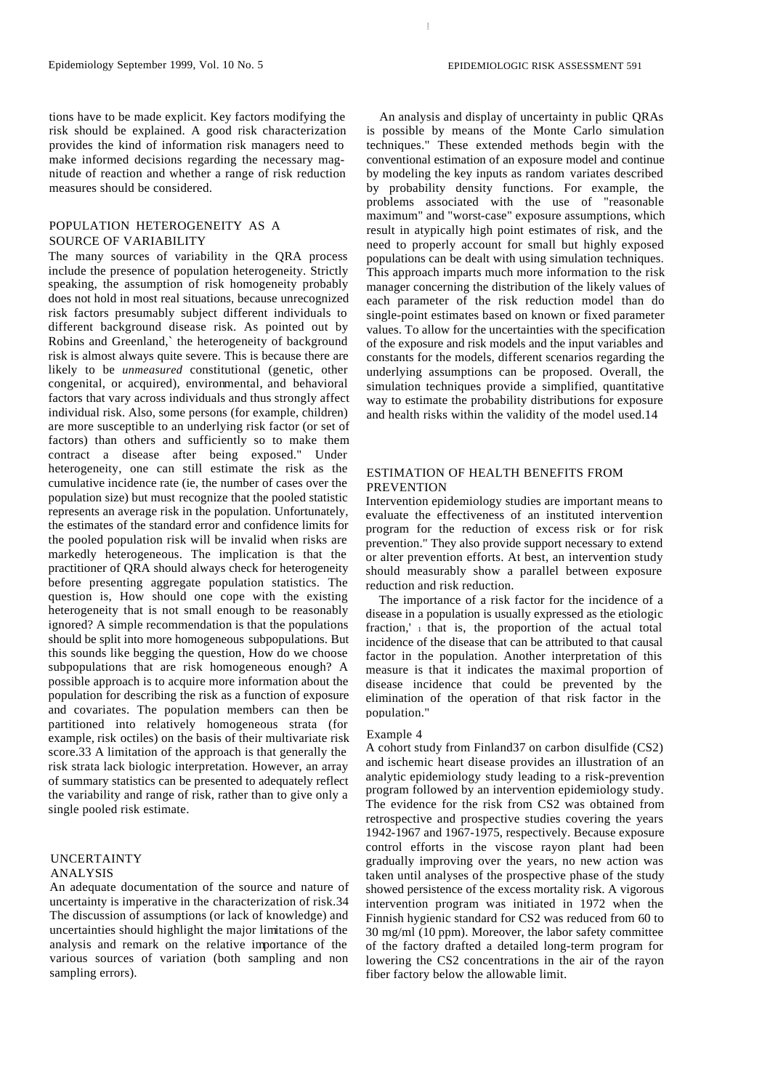tions have to be made explicit. Key factors modifying the risk should be explained. A good risk characterization provides the kind of information risk managers need to make informed decisions regarding the necessary magnitude of reaction and whether a range of risk reduction measures should be considered.

# POPULATION HETEROGENEITY AS A SOURCE OF VARIABILITY

The many sources of variability in the QRA process include the presence of population heterogeneity. Strictly speaking, the assumption of risk homogeneity probably does not hold in most real situations, because unrecognized risk factors presumably subject different individuals to different background disease risk. As pointed out by Robins and Greenland,` the heterogeneity of background risk is almost always quite severe. This is because there are likely to be *unmeasured* constitutional (genetic, other congenital, or acquired), environmental, and behavioral factors that vary across individuals and thus strongly affect individual risk. Also, some persons (for example, children) are more susceptible to an underlying risk factor (or set of factors) than others and sufficiently so to make them contract a disease after being exposed." Under heterogeneity, one can still estimate the risk as the cumulative incidence rate (ie, the number of cases over the population size) but must recognize that the pooled statistic represents an average risk in the population. Unfortunately, the estimates of the standard error and confidence limits for the pooled population risk will be invalid when risks are markedly heterogeneous. The implication is that the practitioner of QRA should always check for heterogeneity before presenting aggregate population statistics. The question is, How should one cope with the existing heterogeneity that is not small enough to be reasonably ignored? A simple recommendation is that the populations should be split into more homogeneous subpopulations. But this sounds like begging the question, How do we choose subpopulations that are risk homogeneous enough? A possible approach is to acquire more information about the population for describing the risk as a function of exposure and covariates. The population members can then be partitioned into relatively homogeneous strata (for example, risk octiles) on the basis of their multivariate risk score.33 A limitation of the approach is that generally the risk strata lack biologic interpretation. However, an array of summary statistics can be presented to adequately reflect the variability and range of risk, rather than to give only a single pooled risk estimate.

### UNCERTAINTY ANALYSIS

An adequate documentation of the source and nature of uncertainty is imperative in the characterization of risk.34 The discussion of assumptions (or lack of knowledge) and uncertainties should highlight the major limitations of the analysis and remark on the relative importance of the various sources of variation (both sampling and non sampling errors).

An analysis and display of uncertainty in public QRAs is possible by means of the Monte Carlo simulation techniques." These extended methods begin with the conventional estimation of an exposure model and continue by modeling the key inputs as random variates described by probability density functions. For example, the problems associated with the use of "reasonable maximum" and "worst-case" exposure assumptions, which result in atypically high point estimates of risk, and the need to properly account for small but highly exposed populations can be dealt with using simulation techniques. This approach imparts much more information to the risk manager concerning the distribution of the likely values of each parameter of the risk reduction model than do single-point estimates based on known or fixed parameter values. To allow for the uncertainties with the specification of the exposure and risk models and the input variables and constants for the models, different scenarios regarding the underlying assumptions can be proposed. Overall, the simulation techniques provide a simplified, quantitative way to estimate the probability distributions for exposure and health risks within the validity of the model used.14

### ESTIMATION OF HEALTH BENEFITS FROM PREVENTION

Intervention epidemiology studies are important means to evaluate the effectiveness of an instituted intervention program for the reduction of excess risk or for risk prevention." They also provide support necessary to extend or alter prevention efforts. At best, an intervention study should measurably show a parallel between exposure reduction and risk reduction.

The importance of a risk factor for the incidence of a disease in a population is usually expressed as the etiologic fraction,'  $\pm$  that is, the proportion of the actual total incidence of the disease that can be attributed to that causal factor in the population. Another interpretation of this measure is that it indicates the maximal proportion of disease incidence that could be prevented by the elimination of the operation of that risk factor in the population."

#### Example 4

A cohort study from Finland37 on carbon disulfide (CS2) and ischemic heart disease provides an illustration of an analytic epidemiology study leading to a risk-prevention program followed by an intervention epidemiology study. The evidence for the risk from CS2 was obtained from retrospective and prospective studies covering the years 1942-1967 and 1967-1975, respectively. Because exposure control efforts in the viscose rayon plant had been gradually improving over the years, no new action was taken until analyses of the prospective phase of the study showed persistence of the excess mortality risk. A vigorous intervention program was initiated in 1972 when the Finnish hygienic standard for CS2 was reduced from 60 to 30 mg/ml (10 ppm). Moreover, the labor safety committee of the factory drafted a detailed long-term program for lowering the CS2 concentrations in the air of the rayon fiber factory below the allowable limit.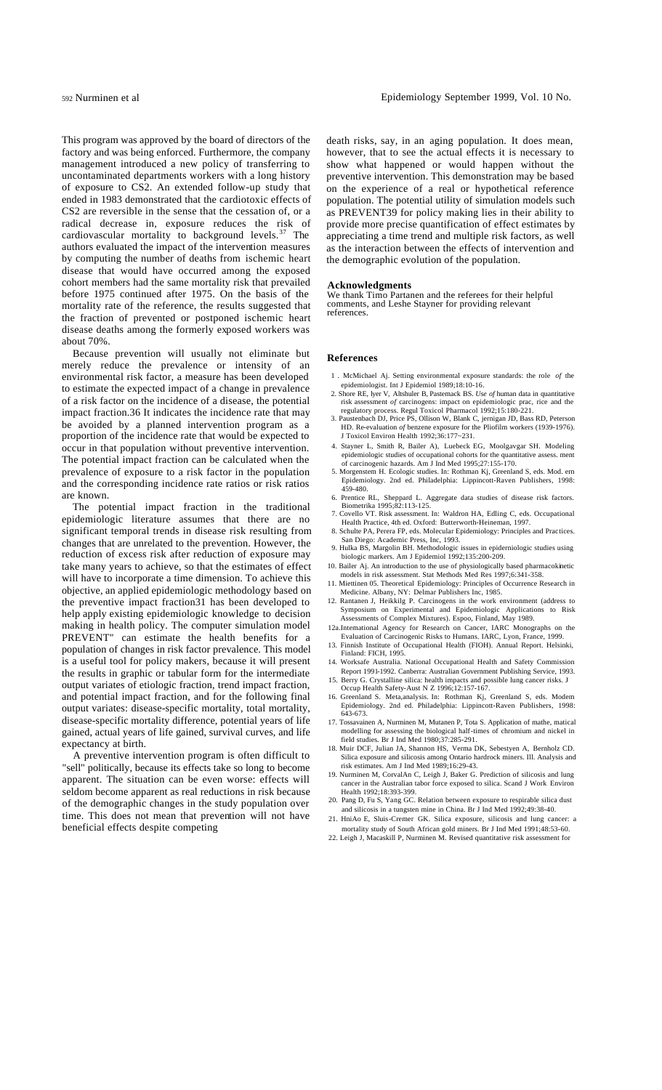This program was approved by the board of directors of the factory and was being enforced. Furthermore, the company management introduced a new policy of transferring to uncontaminated departments workers with a long history of exposure to CS2. An extended follow-up study that ended in 1983 demonstrated that the cardiotoxic effects of CS2 are reversible in the sense that the cessation of, or a radical decrease in, exposure reduces the risk of cardiovascular mortality to background levels. $37$  The authors evaluated the impact of the intervention measures by computing the number of deaths from ischemic heart disease that would have occurred among the exposed cohort members had the same mortality risk that prevailed before 1975 continued after 1975. On the basis of the mortality rate of the reference, the results suggested that the fraction of prevented or postponed ischemic heart disease deaths among the formerly exposed workers was about 70%.

Because prevention will usually not eliminate but merely reduce the prevalence or intensity of an environmental risk factor, a measure has been developed to estimate the expected impact of a change in prevalence of a risk factor on the incidence of a disease, the potential impact fraction.36 It indicates the incidence rate that may be avoided by a planned intervention program as a proportion of the incidence rate that would be expected to occur in that population without preventive intervention. The potential impact fraction can be calculated when the prevalence of exposure to a risk factor in the population and the corresponding incidence rate ratios or risk ratios are known.

The potential impact fraction in the traditional epidemiologic literature assumes that there are no significant temporal trends in disease risk resulting from changes that are unrelated to the prevention. However, the reduction of excess risk after reduction of exposure may take many years to achieve, so that the estimates of effect will have to incorporate a time dimension. To achieve this objective, an applied epidemiologic methodology based on the preventive impact fraction31 has been developed to help apply existing epidemiologic knowledge to decision making in health policy. The computer simulation model PREVENT" can estimate the health benefits for a population of changes in risk factor prevalence. This model is a useful tool for policy makers, because it will present the results in graphic or tabular form for the intermediate output variates of etiologic fraction, trend impact fraction, and potential impact fraction, and for the following final output variates: disease-specific mortality, total mortality, disease-specific mortality difference, potential years of life gained, actual years of life gained, survival curves, and life expectancy at birth.

A preventive intervention program is often difficult to "sell" politically, because its effects take so long to become apparent. The situation can be even worse: effects will seldom become apparent as real reductions in risk because of the demographic changes in the study population over time. This does not mean that prevention will not have beneficial effects despite competing

death risks, say, in an aging population. It does mean, however, that to see the actual effects it is necessary to show what happened or would happen without the preventive intervention. This demonstration may be based on the experience of a real or hypothetical reference population. The potential utility of simulation models such as PREVENT39 for policy making lies in their ability to provide more precise quantification of effect estimates by appreciating a time trend and multiple risk factors, as well as the interaction between the effects of intervention and the demographic evolution of the population.

#### **Acknowledgments**

We thank Timo Partanen and the referees for their helpful comments, and Leshe Stayner for providing relevant references.

#### **References**

- 1 . McMichael Aj. Setting environmental exposure standards: the role *of* the epidemiologist. Int J Epidemiol 1989;18:10-16. 2. Shore RE, lyer V, Altshuler B, Pastemack BS. *Use of* human data in quantitative
- risk assessment *of* carcinogens: impact on epidemiologic prac, rice and the regulatory process. Regul Toxicol Pharmacol 1992;15:180-221.
- 3. Paustenbach DJ, Price PS, Ollison W, Blank C, jernigan JD, Bass RD, Peterson HD. Re-evaluation *of* benzene exposure for the Pliofilm workers (1939-1976). J Toxicol Environ Health 1992;36:177~231.
- 4. Stayner L, Smith R, Bailer A), Luebeck EG, Moolgavgar SH. Modeling epidemiologic studies of occupational cohorts for the quantitative assess. ment
- of carcinogenic hazards. Am J Ind Med 1995;27:155-170. 5. Morgenstem H. Ecologic studies. In: Rothman Kj, Greenland S, eds. Mod. ern Epidemiology. 2nd ed. Philadelphia: Lippincott-Raven Publishers, 1998:  $459 - 480.$
- 6. Prentice RL, Sheppard L. Aggregate data studies of disease risk factors. Biometrika 1995;82:113-125.
- 7. Covello VT. Risk assessment. In: Waldron HA, Edling C, eds. Occupational Health Practice, 4th ed. Oxford: Butterworth-Heinem
- 8. Schulte PA, Perera FP, eds. Molecular Epidemiology: Principles and Practices. San Diego: Academic Press, Inc, 1993. 9. Hulka BS, Margolin BH. Methodologic issues in epiderniologic studies using
- biologic markers. Am J Epidemiol 1992;135:200-209.
- 10. Bailer Aj. An introduction to the use of physiologically based pharmacokinetic models in risk assessment. Stat Methods Med Res 1997;6:341-358.
- 11. Miettinen 05. Theoretical Epidemiology: Principles of Occurrence Research in Medicine. Albany, NY: Delmar Publishers Inc, 1985. 12. Rantanen J, Heikkilg P. Carcinogens in the work environment (address to
- Symposium on Experimental and Epidemiologic Applications to Risk Assessments of Complex Mixtures). Espoo, Finland, May 1989.
- 12a.Intemational Agency for Research on Cancer, IARC Monographs on the Evaluation of Carcinogenic Risks to Humans. IARC, Lyon, France, 1999.
- 13. Finnish Institute of Occupational Health (FIOH). Annual Report. Helsinki, Finland: FICH, 1995.
- 14. Worksafe Australia. National Occupational Health and Safety Commission Report 1991-1992. Canberra: Australian Government Publishing Service, 1993.
- 15. Berry G. Crystalline silica: health impacts and possible lung cancer risks. J Occup Health Safety-Aust N Z 1996;12:157-167. 16. Greenland S. Meta,analysis. In: Rothman Kj, Greenland S, eds. Modem
- Epidemiology. 2nd ed. Philadelphia: Lippincott-Raven Publishers, 1998: 643-673.
- 17. Tossavainen A, Nurminen M, Mutanen P, Tota S. Application of mathe, matical modelling for assessing the biological half-times of chromium and nickel in field studies. Br J Ind Med 1980;37:285-291.
- 18. Muir DCF, Julian JA, Shannon HS, Verma DK, Sebestyen A, Bernholz CD. Silica exposure and silicosis among Ontario hardrock miners. Ill. Analysis and risk estimates. Am J Ind Med 1989;16:29-43.
- 19. Nurminen M, CorvalAn C, Leigh J, Baker G. Prediction of silicosis and lung cancer in the Australian tabor force exposed to silica. Scand J Work Environ Health 1992;18:393-399.
- 20. Pang D, Fu S, Yang GC. Relation between exposure to respirable silica dust and silicosis in a tungsten mine in China. Br J Ind Med 1992;49:38-40.
- 21. HniAo E, Sluis-Cremer GK. Silica exposure, silicosis and lung cancer: a mortality study of South African gold miners. Br J Ind Med 1991;48:53-60.
- 22. Leigh J, Macaskill P, Nurminen M. Revised quantitative risk assessment for